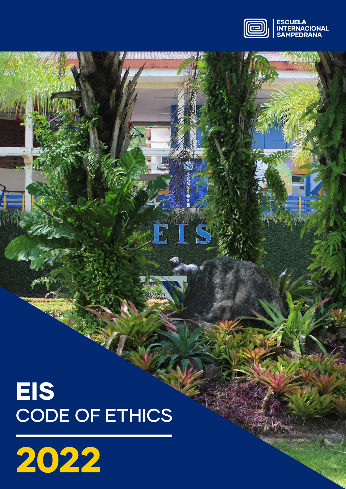

TS

E

# EIS CODE OF ETHICS

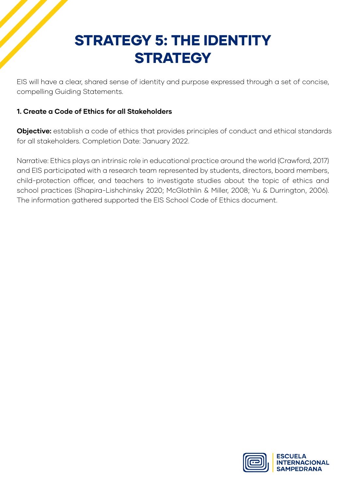# STRATEGY 5: THE IDENTITY **STRATEGY**

EIS will have a clear, shared sense of identity and purpose expressed through a set of concise, compelling Guiding Statements.

### **1. Create a Code of Ethics for all Stakeholders**

**Objective:** establish a code of ethics that provides principles of conduct and ethical standards for all stakeholders. Completion Date: January 2022.

Narrative: Ethics plays an intrinsic role in educational practice around the world (Crawford, 2017) and EIS participated with a research team represented by students, directors, board members, child-protection officer, and teachers to investigate studies about the topic of ethics and school practices (Shapira-Lishchinsky 2020; McGlothlin & Miller, 2008; Yu & Durrington, 2006). The information gathered supported the EIS School Code of Ethics document.

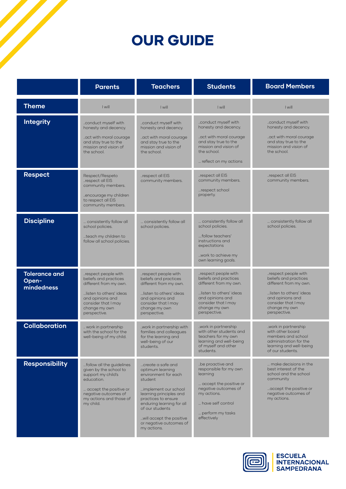# OUR GUIDE

|                                             | <b>Parents</b>                                                                                                                                                                    | <b>Teachers</b>                                                                                                                                                                                                                                                          | <b>Students</b>                                                                                                                                                                 | <b>Board Members</b>                                                                                                                                                          |
|---------------------------------------------|-----------------------------------------------------------------------------------------------------------------------------------------------------------------------------------|--------------------------------------------------------------------------------------------------------------------------------------------------------------------------------------------------------------------------------------------------------------------------|---------------------------------------------------------------------------------------------------------------------------------------------------------------------------------|-------------------------------------------------------------------------------------------------------------------------------------------------------------------------------|
| <b>Theme</b>                                | I will                                                                                                                                                                            | I will                                                                                                                                                                                                                                                                   | I will                                                                                                                                                                          | I will                                                                                                                                                                        |
| <b>Integrity</b>                            | .conduct myself with<br>honesty and decency.<br>.act with moral courage<br>and stay true to the<br>mission and vision of<br>the school.                                           | conduct myself with<br>honesty and decency.<br>act with moral courage<br>and stay true to the<br>mission and vision of<br>the school.                                                                                                                                    | .conduct myself with<br>honesty and decency.<br>.act with moral courage<br>and stay true to the<br>mission and vision of<br>the school.<br>reflect on my actions                | .conduct myself with<br>honesty and decency.<br>act with moral courage<br>and stay true to the<br>mission and vision of<br>the school.                                        |
| <b>Respect</b>                              | Respect/Respeto<br>.respect all EIS<br>community members.<br>encourage my children<br>to respect all EIS<br>community members.                                                    | respect all EIS<br>community members.                                                                                                                                                                                                                                    | respect all EIS<br>community members.<br>respect school<br>property.                                                                                                            | respect all EIS<br>community members.                                                                                                                                         |
| <b>Discipline</b>                           | consistently follow all<br>school policies.<br>teach my children to<br>follow all school policies.                                                                                | consistently follow all<br>school policies.                                                                                                                                                                                                                              | consistently follow all<br>school policies.<br>follow teachers'<br>instructions and<br>expectations<br>work to achieve my<br>own learning goals.                                | consistently follow all<br>school policies.                                                                                                                                   |
| <b>Tolerance and</b><br>Open-<br>mindedness | .respect people with<br>beliefs and practices<br>different from my own.<br>listen to others' ideas<br>and opinions and<br>consider that I may<br>change my own<br>perspective.    | respect people with<br>beliefs and practices<br>different from my own.<br>listen to others' ideas<br>and opinions and<br>consider that I may<br>change my own<br>perspective.                                                                                            | respect people with<br>beliefs and practices<br>different from my own.<br>listen to others' ideas<br>and opinions and<br>consider that I may<br>change my own<br>perspective.   | respect people with<br>beliefs and practices<br>different from my own.<br>listen to others' ideas<br>and opinions and<br>consider that I may<br>change my own<br>perspective. |
| <b>Collaboration</b>                        | work in partnership<br>with the school for the<br>well-being of my child.                                                                                                         | .work in partnership with<br>families and colleagues<br>for the learning and<br>well-being of our<br>students.                                                                                                                                                           | .work in partnership<br>with other students and<br>teachers for my own<br>learning and well-being<br>of myself and other<br>students.                                           | .work in partnership<br>with other board<br>members and school<br>administration for the<br>learning and well-being<br>of our students.                                       |
| <b>Responsibility</b>                       | follow all the guidelines<br>given by the school to<br>support my child's<br>education.<br>accept the positive or<br>negative outcomes of<br>my actions and those of<br>my child. | create a safe and<br>optimum learning<br>environment for each<br>student<br>implement our school<br>learning principles and<br>practices to ensure<br>enduring learning for all<br>of our students<br>will accept the positive<br>or negative outcomes of<br>my actions. | be proactive and<br>responsible for my own<br>learning<br>accept the positive or<br>negative outcomes of<br>my actions.<br>have self control<br>perform my tasks<br>effectively | make decisions in the<br>best interest of the<br>school and the school<br>community<br>accept the positive or<br>negative outcomes of<br>my actions.                          |



ESCUELA<br>INTERNACIONAL<br>SAMPEDRANA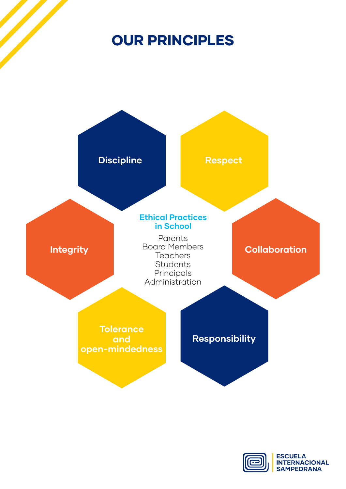# OUR PRINCIPLES



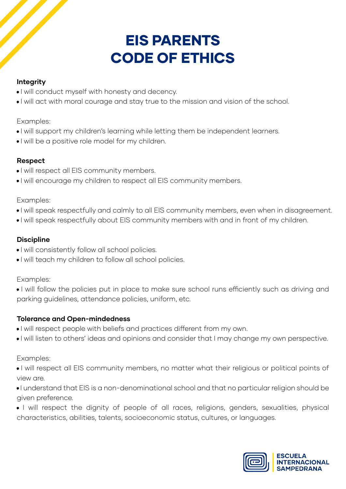# EIS PARENTS CODE OF ETHICS

### **Integrity**

- I will conduct myself with honesty and decency.
- I will act with moral courage and stay true to the mission and vision of the school.

Examples:

- I will support my children's learning while letting them be independent learners.
- I will be a positive role model for my children.

### **Respect**

- I will respect all EIS community members.
- I will encourage my children to respect all EIS community members.

#### Examples:

- I will speak respectfully and calmly to all EIS community members, even when in disagreement.
- I will speak respectfully about EIS community members with and in front of my children.

## **Discipline**

- I will consistently follow all school policies.
- I will teach my children to follow all school policies.

### Examples:

• I will follow the policies put in place to make sure school runs efficiently such as driving and parking guidelines, attendance policies, uniform, etc.

### **Tolerance and Open-mindedness**

- I will respect people with beliefs and practices different from my own.
- I will listen to others' ideas and opinions and consider that I may change my own perspective.

- I will respect all EIS community members, no matter what their religious or political points of view are.
- I understand that EIS is a non-denominational school and that no particular religion should be given preference.
- I will respect the dignity of people of all races, religions, genders, sexualities, physical characteristics, abilities, talents, socioeconomic status, cultures, or languages.

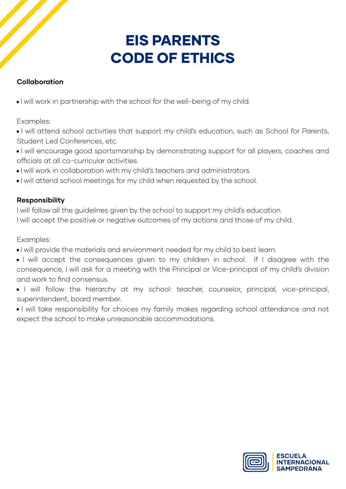# EIS PARENTS CODE OF ETHICS

### **Collaboration**

• I will work in partnership with the school for the well-being of my child.

Examples:

• I will attend school activities that support my child's education, such as School for Parents, Student Led Conferences, etc.

- I will encourage good sportsmanship by demonstrating support for all players, coaches and officials at all co-curricular activities.
- I will work in collaboration with my child's teachers and administrators.
- I will attend school meetings for my child when requested by the school.

#### **Responsibility**

I will follow all the guidelines given by the school to support my child's education.

I will accept the positive or negative outcomes of my actions and those of my child.

- I will provide the materials and environment needed for my child to best learn.
- I will accept the consequences given to my children in school. If I disagree with the consequence, I will ask for a meeting with the Principal or Vice-principal of my child's division and work to find consensus.
- I will follow the hierarchy at my school: teacher, counselor, principal, vice-principal, superintendent, board member.
- I will take responsibility for choices my family makes regarding school attendance and not expect the school to make unreasonable accommodations.

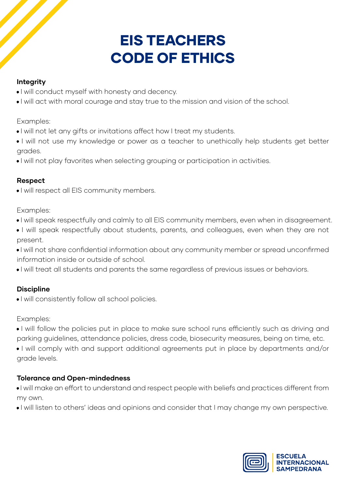# EIS TEACHERS CODE OF ETHICS

## **Integrity**

- I will conduct myself with honesty and decency.
- I will act with moral courage and stay true to the mission and vision of the school.

Examples:

- I will not let any gifts or invitations affect how I treat my students.
- I will not use my knowledge or power as a teacher to unethically help students get better grades.
- I will not play favorites when selecting grouping or participation in activities.

## **Respect**

• I will respect all EIS community members.

Examples:

- I will speak respectfully and calmly to all EIS community members, even when in disagreement.
- I will speak respectfully about students, parents, and colleagues, even when they are not present.
- I will not share confidential information about any community member or spread unconfirmed information inside or outside of school.
- I will treat all students and parents the same regardless of previous issues or behaviors.

# **Discipline**

• I will consistently follow all school policies.

# Examples:

- I will follow the policies put in place to make sure school runs efficiently such as driving and parking guidelines, attendance policies, dress code, biosecurity measures, being on time, etc.
- I will comply with and support additional agreements put in place by departments and/or grade levels.

# **Tolerance and Open-mindedness**

- I will make an effort to understand and respect people with beliefs and practices different from my own.
- I will listen to others' ideas and opinions and consider that I may change my own perspective.

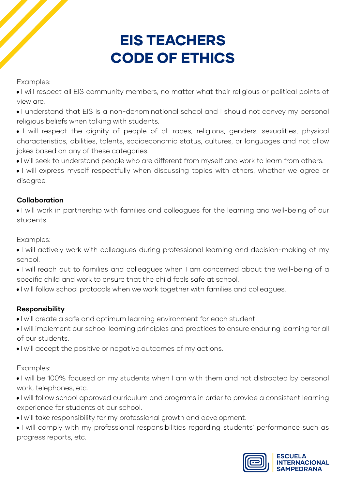# EIS TEACHERS CODE OF ETHICS

Examples:

• I will respect all EIS community members, no matter what their religious or political points of view are.

• I understand that EIS is a non-denominational school and I should not convey my personal religious beliefs when talking with students.

• I will respect the dignity of people of all races, religions, genders, sexualities, physical characteristics, abilities, talents, socioeconomic status, cultures, or languages and not allow jokes based on any of these categories.

• I will seek to understand people who are different from myself and work to learn from others.

• I will express myself respectfully when discussing topics with others, whether we agree or disagree.

### **Collaboration**

• I will work in partnership with families and colleagues for the learning and well-being of our students.

Examples:

- I will actively work with colleagues during professional learning and decision-making at my school.
- I will reach out to families and colleagues when I am concerned about the well-being of a specific child and work to ensure that the child feels safe at school.
- I will follow school protocols when we work together with families and colleagues.

### **Responsibility**

- I will create a safe and optimum learning environment for each student.
- I will implement our school learning principles and practices to ensure enduring learning for all of our students.
- I will accept the positive or negative outcomes of my actions.

Examples:

• I will be 100% focused on my students when I am with them and not distracted by personal work, telephones, etc.

- I will follow school approved curriculum and programs in order to provide a consistent learning experience for students at our school.
- I will take responsibility for my professional growth and development.
- I will comply with my professional responsibilities regarding students' performance such as progress reports, etc.

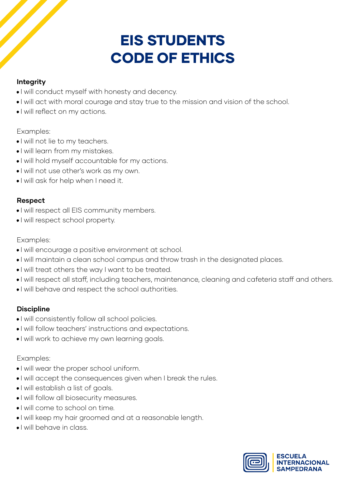# EIS STUDENTS CODE OF ETHICS

### **Integrity**

- I will conduct myself with honesty and decency.
- I will act with moral courage and stay true to the mission and vision of the school.
- I will reflect on my actions.

#### Examples:

- I will not lie to my teachers.
- I will learn from my mistakes.
- I will hold myself accountable for my actions.
- I will not use other's work as my own.
- I will ask for help when I need it.

## **Respect**

- I will respect all EIS community members.
- I will respect school property.

### Examples:

- I will encourage a positive environment at school.
- I will maintain a clean school campus and throw trash in the designated places.
- I will treat others the way I want to be treated.
- I will respect all staff, including teachers, maintenance, cleaning and cafeteria staff and others.
- I will behave and respect the school authorities.

### **Discipline**

- I will consistently follow all school policies.
- I will follow teachers' instructions and expectations.
- I will work to achieve my own learning goals.

- I will wear the proper school uniform.
- I will accept the consequences given when I break the rules.
- I will establish a list of goals.
- I will follow all biosecurity measures.
- I will come to school on time.
- I will keep my hair groomed and at a reasonable length.
- I will behave in class.

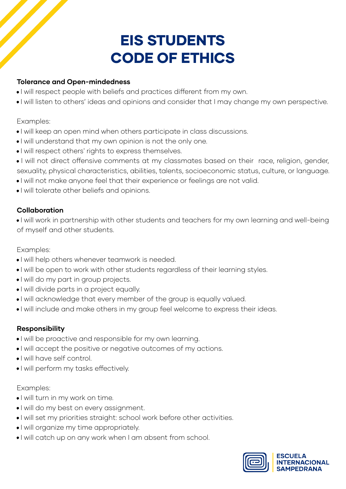# EIS STUDENTS CODE OF ETHICS

#### **Tolerance and Open-mindedness**

- I will respect people with beliefs and practices different from my own.
- I will listen to others' ideas and opinions and consider that I may change my own perspective.

#### Examples:

- I will keep an open mind when others participate in class discussions.
- I will understand that my own opinion is not the only one.
- I will respect others' rights to express themselves.
- I will not direct offensive comments at my classmates based on their race, religion, gender, sexuality, physical characteristics, abilities, talents, socioeconomic status, culture, or language.
- I will not make anyone feel that their experience or feelings are not valid.
- I will tolerate other beliefs and opinions.

#### **Collaboration**

• I will work in partnership with other students and teachers for my own learning and well-being of myself and other students.

#### Examples:

- I will help others whenever teamwork is needed.
- I will be open to work with other students regardless of their learning styles.
- I will do my part in group projects.
- I will divide parts in a project equally.
- I will acknowledge that every member of the group is equally valued.
- I will include and make others in my group feel welcome to express their ideas.

#### **Responsibility**

- I will be proactive and responsible for my own learning.
- I will accept the positive or negative outcomes of my actions.
- I will have self control.
- I will perform my tasks effectively.

- I will turn in my work on time.
- I will do my best on every assignment.
- I will set my priorities straight: school work before other activities.
- I will organize my time appropriately.
- I will catch up on any work when I am absent from school.

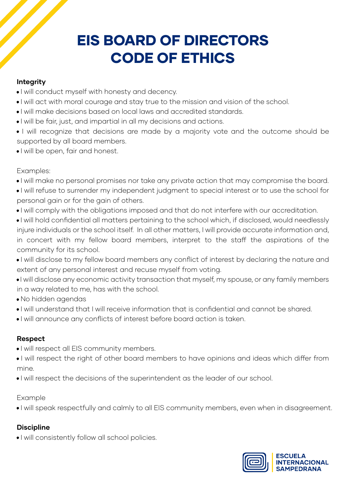# EIS BOARD OF DIRECTORS CODE OF ETHICS

#### **Integrity**

- I will conduct myself with honesty and decency.
- I will act with moral courage and stay true to the mission and vision of the school.
- I will make decisions based on local laws and accredited standards.
- I will be fair, just, and impartial in all my decisions and actions.
- I will recognize that decisions are made by a majority vote and the outcome should be supported by all board members.
- I will be open, fair and honest.

#### Examples:

- I will make no personal promises nor take any private action that may compromise the board.
- I will refuse to surrender my independent judgment to special interest or to use the school for personal gain or for the gain of others.
- I will comply with the obligations imposed and that do not interfere with our accreditation.
- I will hold confidential all matters pertaining to the school which, if disclosed, would needlessly injure individuals or the school itself. In all other matters, I will provide accurate information and, in concert with my fellow board members, interpret to the staff the aspirations of the community for its school.
- I will disclose to my fellow board members any conflict of interest by declaring the nature and extent of any personal interest and recuse myself from voting.
- I will disclose any economic activity transaction that myself, my spouse, or any family members in a way related to me, has with the school.
- No hidden agendas
- I will understand that I will receive information that is confidential and cannot be shared.
- I will announce any conflicts of interest before board action is taken.

### **Respect**

- I will respect all EIS community members.
- I will respect the right of other board members to have opinions and ideas which differ from mine.
- I will respect the decisions of the superintendent as the leader of our school.

### Example

• I will speak respectfully and calmly to all EIS community members, even when in disagreement.

### **Discipline**

• I will consistently follow all school policies.

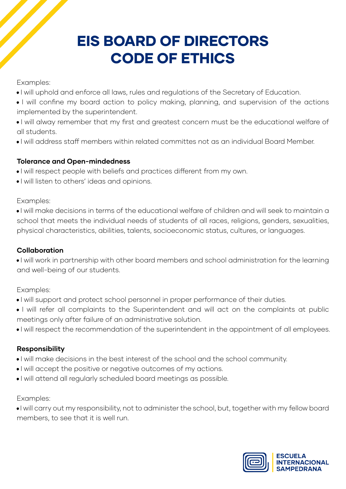# EIS BOARD OF DIRECTORS CODE OF ETHICS

Examples:

- I will uphold and enforce all laws, rules and regulations of the Secretary of Education.
- I will confine my board action to policy making, planning, and supervision of the actions implemented by the superintendent.
- I will alway remember that my first and greatest concern must be the educational welfare of all students.
- I will address staff members within related committes not as an individual Board Member.

#### **Tolerance and Open-mindedness**

- I will respect people with beliefs and practices different from my own.
- I will listen to others' ideas and opinions.

Examples:

• I will make decisions in terms of the educational welfare of children and will seek to maintain a school that meets the individual needs of students of all races, religions, genders, sexualities, physical characteristics, abilities, talents, socioeconomic status, cultures, or languages.

#### **Collaboration**

• I will work in partnership with other board members and school administration for the learning and well-being of our students.

Examples:

- I will support and protect school personnel in proper performance of their duties.
- I will refer all complaints to the Superintendent and will act on the complaints at public meetings only after failure of an administrative solution.
- I will respect the recommendation of the superintendent in the appointment of all employees.

#### **Responsibility**

- I will make decisions in the best interest of the school and the school community.
- I will accept the positive or negative outcomes of my actions.
- I will attend all regularly scheduled board meetings as possible.

Examples:

• I will carry out my responsibility, not to administer the school, but, together with my fellow board members, to see that it is well run.

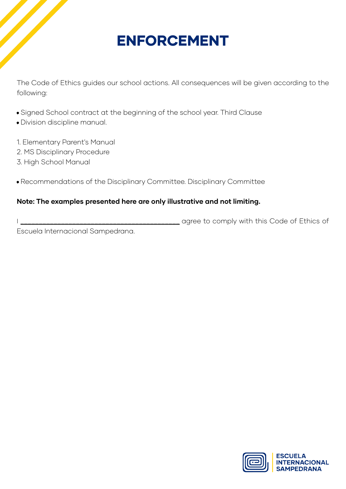# ENFORCEMENT

The Code of Ethics guides our school actions. All consequences will be given according to the following:

- Signed School contract at the beginning of the school year. Third Clause
- Division discipline manual.
- 1. Elementary Parent's Manual
- 2. MS Disciplinary Procedure
- 3. High School Manual
- Recommendations of the Disciplinary Committee. Disciplinary Committee

#### **Note: The examples presented here are only illustrative and not limiting.**

I \_\_\_\_\_\_\_\_\_\_\_\_\_\_\_\_\_\_\_\_\_\_\_\_\_\_\_\_\_\_\_\_\_\_\_\_\_\_\_\_\_\_\_ agree to comply with this Code of Ethics of Escuela Internacional Sampedrana.